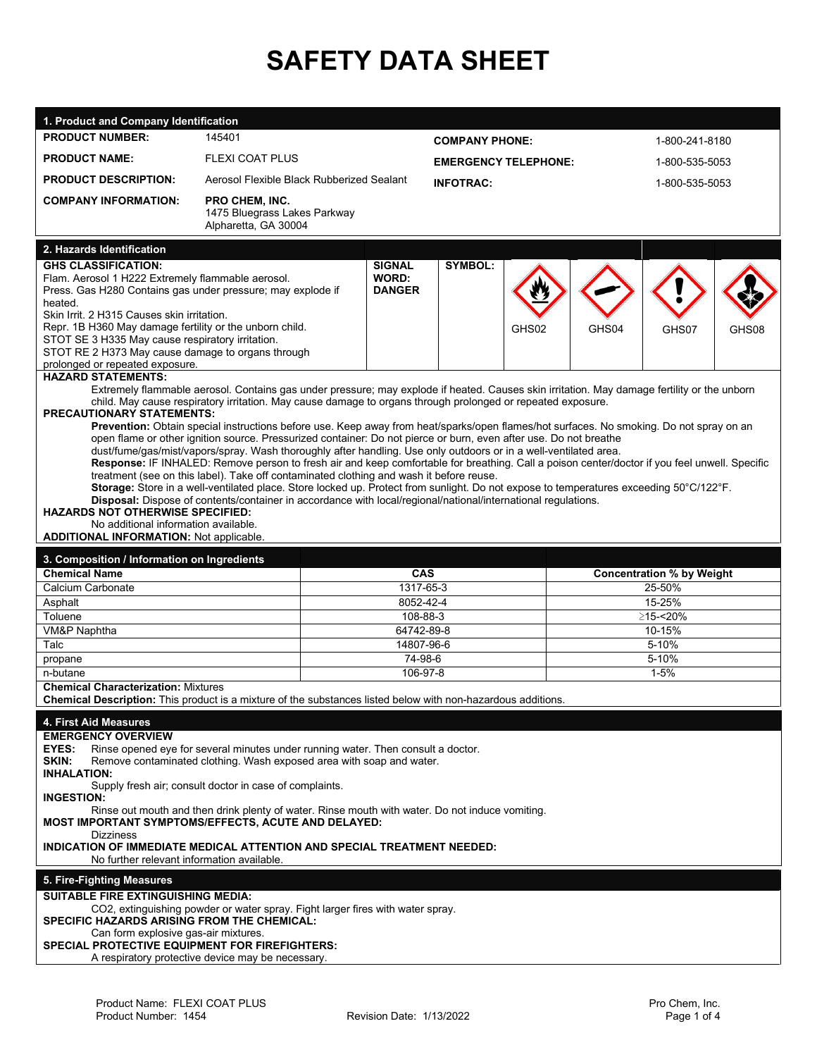## **SAFETY DATA SHEET**

| 1. Product and Company Identification                                                                                                                                                                                            |                                                                                                                                                                                                                                                                                                                                                                                                                                                                                                                                                                                                                                                                                                                                                                                                                                                                                                                                                                                                                                                                                                                                                       |                                         |                             |       |                |                                  |  |
|----------------------------------------------------------------------------------------------------------------------------------------------------------------------------------------------------------------------------------|-------------------------------------------------------------------------------------------------------------------------------------------------------------------------------------------------------------------------------------------------------------------------------------------------------------------------------------------------------------------------------------------------------------------------------------------------------------------------------------------------------------------------------------------------------------------------------------------------------------------------------------------------------------------------------------------------------------------------------------------------------------------------------------------------------------------------------------------------------------------------------------------------------------------------------------------------------------------------------------------------------------------------------------------------------------------------------------------------------------------------------------------------------|-----------------------------------------|-----------------------------|-------|----------------|----------------------------------|--|
| <b>PRODUCT NUMBER:</b>                                                                                                                                                                                                           | 145401                                                                                                                                                                                                                                                                                                                                                                                                                                                                                                                                                                                                                                                                                                                                                                                                                                                                                                                                                                                                                                                                                                                                                |                                         | <b>COMPANY PHONE:</b>       |       |                | 1-800-241-8180                   |  |
| <b>PRODUCT NAME:</b>                                                                                                                                                                                                             | <b>FLEXI COAT PLUS</b>                                                                                                                                                                                                                                                                                                                                                                                                                                                                                                                                                                                                                                                                                                                                                                                                                                                                                                                                                                                                                                                                                                                                |                                         | <b>EMERGENCY TELEPHONE:</b> |       | 1-800-535-5053 |                                  |  |
| <b>PRODUCT DESCRIPTION:</b>                                                                                                                                                                                                      | Aerosol Flexible Black Rubberized Sealant                                                                                                                                                                                                                                                                                                                                                                                                                                                                                                                                                                                                                                                                                                                                                                                                                                                                                                                                                                                                                                                                                                             |                                         | <b>INFOTRAC:</b>            |       |                | 1-800-535-5053                   |  |
| <b>COMPANY INFORMATION:</b>                                                                                                                                                                                                      | <b>PRO CHEM, INC.</b>                                                                                                                                                                                                                                                                                                                                                                                                                                                                                                                                                                                                                                                                                                                                                                                                                                                                                                                                                                                                                                                                                                                                 |                                         |                             |       |                |                                  |  |
|                                                                                                                                                                                                                                  | 1475 Bluegrass Lakes Parkway<br>Alpharetta, GA 30004                                                                                                                                                                                                                                                                                                                                                                                                                                                                                                                                                                                                                                                                                                                                                                                                                                                                                                                                                                                                                                                                                                  |                                         |                             |       |                |                                  |  |
| 2. Hazards Identification                                                                                                                                                                                                        |                                                                                                                                                                                                                                                                                                                                                                                                                                                                                                                                                                                                                                                                                                                                                                                                                                                                                                                                                                                                                                                                                                                                                       |                                         |                             |       |                |                                  |  |
| <b>GHS CLASSIFICATION:</b><br>Flam. Aerosol 1 H222 Extremely flammable aerosol.<br>Press. Gas H280 Contains gas under pressure; may explode if<br>heated.<br>Skin Irrit, 2 H315 Causes skin irritation.                          |                                                                                                                                                                                                                                                                                                                                                                                                                                                                                                                                                                                                                                                                                                                                                                                                                                                                                                                                                                                                                                                                                                                                                       | <b>SIGNAL</b><br>WORD:<br><b>DANGER</b> | <b>SYMBOL:</b>              |       |                |                                  |  |
| Repr. 1B H360 May damage fertility or the unborn child.<br>STOT SE 3 H335 May cause respiratory irritation.<br>STOT RE 2 H373 May cause damage to organs through<br>prolonged or repeated exposure.<br><b>HAZARD STATEMENTS:</b> |                                                                                                                                                                                                                                                                                                                                                                                                                                                                                                                                                                                                                                                                                                                                                                                                                                                                                                                                                                                                                                                                                                                                                       |                                         | GHS02                       | GHS04 | GHS07          | GHS08                            |  |
| <b>PRECAUTIONARY STATEMENTS:</b><br><b>HAZARDS NOT OTHERWISE SPECIFIED:</b><br>No additional information available.<br><b>ADDITIONAL INFORMATION: Not applicable.</b>                                                            | Extremely flammable aerosol. Contains gas under pressure; may explode if heated. Causes skin irritation. May damage fertility or the unborn<br>child. May cause respiratory irritation. May cause damage to organs through prolonged or repeated exposure.<br>Prevention: Obtain special instructions before use. Keep away from heat/sparks/open flames/hot surfaces. No smoking. Do not spray on an<br>open flame or other ignition source. Pressurized container: Do not pierce or burn, even after use. Do not breathe<br>dust/fume/gas/mist/vapors/spray. Wash thoroughly after handling. Use only outdoors or in a well-ventilated area.<br>Response: IF INHALED: Remove person to fresh air and keep comfortable for breathing. Call a poison center/doctor if you feel unwell. Specific<br>treatment (see on this label). Take off contaminated clothing and wash it before reuse.<br>Storage: Store in a well-ventilated place. Store locked up. Protect from sunlight. Do not expose to temperatures exceeding 50°C/122°F.<br>Disposal: Dispose of contents/container in accordance with local/regional/national/international regulations. |                                         |                             |       |                |                                  |  |
|                                                                                                                                                                                                                                  |                                                                                                                                                                                                                                                                                                                                                                                                                                                                                                                                                                                                                                                                                                                                                                                                                                                                                                                                                                                                                                                                                                                                                       |                                         |                             |       |                |                                  |  |
|                                                                                                                                                                                                                                  |                                                                                                                                                                                                                                                                                                                                                                                                                                                                                                                                                                                                                                                                                                                                                                                                                                                                                                                                                                                                                                                                                                                                                       |                                         |                             |       |                |                                  |  |
| 3. Composition / Information on Ingredients<br><b>Chemical Name</b>                                                                                                                                                              |                                                                                                                                                                                                                                                                                                                                                                                                                                                                                                                                                                                                                                                                                                                                                                                                                                                                                                                                                                                                                                                                                                                                                       | <b>CAS</b>                              |                             |       |                | <b>Concentration % by Weight</b> |  |
| Calcium Carbonate                                                                                                                                                                                                                |                                                                                                                                                                                                                                                                                                                                                                                                                                                                                                                                                                                                                                                                                                                                                                                                                                                                                                                                                                                                                                                                                                                                                       | 1317-65-3                               |                             |       |                | 25-50%                           |  |
| Asphalt                                                                                                                                                                                                                          |                                                                                                                                                                                                                                                                                                                                                                                                                                                                                                                                                                                                                                                                                                                                                                                                                                                                                                                                                                                                                                                                                                                                                       | 8052-42-4                               |                             |       |                | 15-25%                           |  |
| Toluene                                                                                                                                                                                                                          |                                                                                                                                                                                                                                                                                                                                                                                                                                                                                                                                                                                                                                                                                                                                                                                                                                                                                                                                                                                                                                                                                                                                                       | 108-88-3                                |                             |       |                | ≥15-<20%                         |  |
| VM&P Naphtha                                                                                                                                                                                                                     |                                                                                                                                                                                                                                                                                                                                                                                                                                                                                                                                                                                                                                                                                                                                                                                                                                                                                                                                                                                                                                                                                                                                                       | 64742-89-8                              |                             |       |                | 10-15%                           |  |
| Talc                                                                                                                                                                                                                             |                                                                                                                                                                                                                                                                                                                                                                                                                                                                                                                                                                                                                                                                                                                                                                                                                                                                                                                                                                                                                                                                                                                                                       | 14807-96-6                              |                             |       |                | 5-10%                            |  |
| propane<br>n-butane                                                                                                                                                                                                              |                                                                                                                                                                                                                                                                                                                                                                                                                                                                                                                                                                                                                                                                                                                                                                                                                                                                                                                                                                                                                                                                                                                                                       | 74-98-6<br>106-97-8                     |                             |       |                | 5-10%<br>$1 - 5%$                |  |
| <b>Chemical Characterization: Mixtures</b>                                                                                                                                                                                       | Chemical Description: This product is a mixture of the substances listed below with non-hazardous additions.                                                                                                                                                                                                                                                                                                                                                                                                                                                                                                                                                                                                                                                                                                                                                                                                                                                                                                                                                                                                                                          |                                         |                             |       |                |                                  |  |
|                                                                                                                                                                                                                                  |                                                                                                                                                                                                                                                                                                                                                                                                                                                                                                                                                                                                                                                                                                                                                                                                                                                                                                                                                                                                                                                                                                                                                       |                                         |                             |       |                |                                  |  |
| 4. First Aid Measures<br><b>EMERGENCY OVERVIEW</b><br>EYES:<br>SKIN:<br><b>INHALATION:</b><br><b>INGESTION:</b><br><b>Dizziness</b><br>No further relevant information available.                                                | Rinse opened eye for several minutes under running water. Then consult a doctor.<br>Remove contaminated clothing. Wash exposed area with soap and water.<br>Supply fresh air; consult doctor in case of complaints.<br>Rinse out mouth and then drink plenty of water. Rinse mouth with water. Do not induce vomiting.<br>MOST IMPORTANT SYMPTOMS/EFFECTS, ACUTE AND DELAYED:<br>INDICATION OF IMMEDIATE MEDICAL ATTENTION AND SPECIAL TREATMENT NEEDED:                                                                                                                                                                                                                                                                                                                                                                                                                                                                                                                                                                                                                                                                                              |                                         |                             |       |                |                                  |  |
| 5. Fire-Fighting Measures                                                                                                                                                                                                        |                                                                                                                                                                                                                                                                                                                                                                                                                                                                                                                                                                                                                                                                                                                                                                                                                                                                                                                                                                                                                                                                                                                                                       |                                         |                             |       |                |                                  |  |
| <b>SUITABLE FIRE EXTINGUISHING MEDIA:</b>                                                                                                                                                                                        |                                                                                                                                                                                                                                                                                                                                                                                                                                                                                                                                                                                                                                                                                                                                                                                                                                                                                                                                                                                                                                                                                                                                                       |                                         |                             |       |                |                                  |  |
| SPECIFIC HAZARDS ARISING FROM THE CHEMICAL:<br>Can form explosive gas-air mixtures.                                                                                                                                              | CO2, extinguishing powder or water spray. Fight larger fires with water spray.                                                                                                                                                                                                                                                                                                                                                                                                                                                                                                                                                                                                                                                                                                                                                                                                                                                                                                                                                                                                                                                                        |                                         |                             |       |                |                                  |  |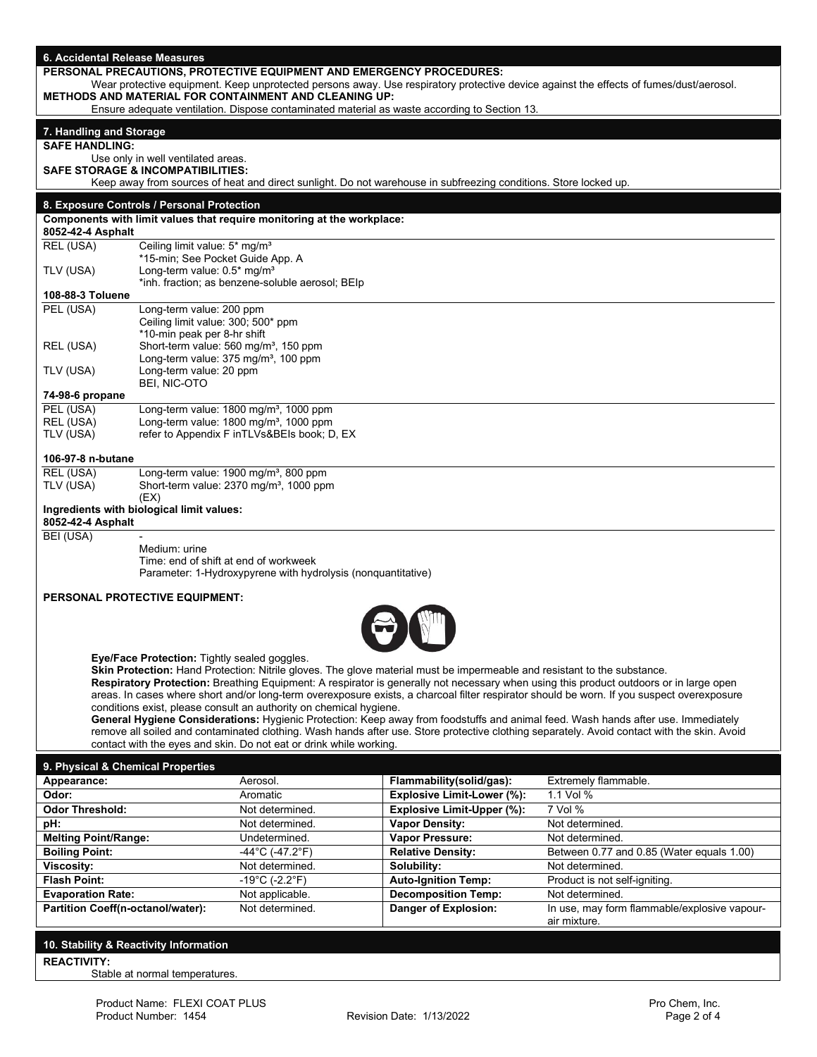| 6. Accidental Release Measures                                                                                                                                                                         |                                                                             |                                                                        |  |                                                                                                                          |                                                                                                                                             |
|--------------------------------------------------------------------------------------------------------------------------------------------------------------------------------------------------------|-----------------------------------------------------------------------------|------------------------------------------------------------------------|--|--------------------------------------------------------------------------------------------------------------------------|---------------------------------------------------------------------------------------------------------------------------------------------|
|                                                                                                                                                                                                        |                                                                             |                                                                        |  | PERSONAL PRECAUTIONS, PROTECTIVE EQUIPMENT AND EMERGENCY PROCEDURES:                                                     |                                                                                                                                             |
| Wear protective equipment. Keep unprotected persons away. Use respiratory protective device against the effects of fumes/dust/aerosol.<br><b>METHODS AND MATERIAL FOR CONTAINMENT AND CLEANING UP:</b> |                                                                             |                                                                        |  |                                                                                                                          |                                                                                                                                             |
|                                                                                                                                                                                                        |                                                                             |                                                                        |  | Ensure adequate ventilation. Dispose contaminated material as waste according to Section 13.                             |                                                                                                                                             |
|                                                                                                                                                                                                        |                                                                             |                                                                        |  |                                                                                                                          |                                                                                                                                             |
| 7. Handling and Storage<br><b>SAFE HANDLING:</b>                                                                                                                                                       |                                                                             |                                                                        |  |                                                                                                                          |                                                                                                                                             |
|                                                                                                                                                                                                        | Use only in well ventilated areas.                                          |                                                                        |  |                                                                                                                          |                                                                                                                                             |
|                                                                                                                                                                                                        | <b>SAFE STORAGE &amp; INCOMPATIBILITIES:</b>                                |                                                                        |  |                                                                                                                          |                                                                                                                                             |
|                                                                                                                                                                                                        |                                                                             |                                                                        |  | Keep away from sources of heat and direct sunlight. Do not warehouse in subfreezing conditions. Store locked up.         |                                                                                                                                             |
|                                                                                                                                                                                                        | 8. Exposure Controls / Personal Protection                                  |                                                                        |  |                                                                                                                          |                                                                                                                                             |
|                                                                                                                                                                                                        |                                                                             | Components with limit values that require monitoring at the workplace: |  |                                                                                                                          |                                                                                                                                             |
| 8052-42-4 Asphalt                                                                                                                                                                                      |                                                                             |                                                                        |  |                                                                                                                          |                                                                                                                                             |
| REL (USA)                                                                                                                                                                                              | Ceiling limit value: 5* mg/m <sup>3</sup>                                   |                                                                        |  |                                                                                                                          |                                                                                                                                             |
| TLV (USA)                                                                                                                                                                                              | *15-min; See Pocket Guide App. A<br>Long-term value: 0.5* mg/m <sup>3</sup> |                                                                        |  |                                                                                                                          |                                                                                                                                             |
|                                                                                                                                                                                                        |                                                                             | *inh. fraction; as benzene-soluble aerosol; BEIp                       |  |                                                                                                                          |                                                                                                                                             |
| 108-88-3 Toluene                                                                                                                                                                                       |                                                                             |                                                                        |  |                                                                                                                          |                                                                                                                                             |
| PEL (USA)                                                                                                                                                                                              | Long-term value: 200 ppm                                                    |                                                                        |  |                                                                                                                          |                                                                                                                                             |
|                                                                                                                                                                                                        | Ceiling limit value: 300; 500* ppm<br>*10-min peak per 8-hr shift           |                                                                        |  |                                                                                                                          |                                                                                                                                             |
| REL (USA)                                                                                                                                                                                              |                                                                             | Short-term value: 560 mg/m <sup>3</sup> , 150 ppm                      |  |                                                                                                                          |                                                                                                                                             |
|                                                                                                                                                                                                        |                                                                             | Long-term value: 375 mg/m <sup>3</sup> , 100 ppm                       |  |                                                                                                                          |                                                                                                                                             |
| TLV (USA)                                                                                                                                                                                              | Long-term value: 20 ppm                                                     |                                                                        |  |                                                                                                                          |                                                                                                                                             |
| 74-98-6 propane                                                                                                                                                                                        | BEI, NIC-OTO                                                                |                                                                        |  |                                                                                                                          |                                                                                                                                             |
| PEL (USA)                                                                                                                                                                                              |                                                                             | Long-term value: 1800 mg/m <sup>3</sup> , 1000 ppm                     |  |                                                                                                                          |                                                                                                                                             |
| REL (USA)                                                                                                                                                                                              |                                                                             | Long-term value: 1800 mg/m <sup>3</sup> , 1000 ppm                     |  |                                                                                                                          |                                                                                                                                             |
| TLV (USA)                                                                                                                                                                                              |                                                                             | refer to Appendix F inTLVs&BEIs book; D, EX                            |  |                                                                                                                          |                                                                                                                                             |
|                                                                                                                                                                                                        |                                                                             |                                                                        |  |                                                                                                                          |                                                                                                                                             |
| 106-97-8 n-butane<br>REL (USA)                                                                                                                                                                         |                                                                             | Long-term value: 1900 mg/m <sup>3</sup> , 800 ppm                      |  |                                                                                                                          |                                                                                                                                             |
| TLV (USA)                                                                                                                                                                                              |                                                                             | Short-term value: 2370 mg/m <sup>3</sup> , 1000 ppm                    |  |                                                                                                                          |                                                                                                                                             |
|                                                                                                                                                                                                        | (EX)                                                                        |                                                                        |  |                                                                                                                          |                                                                                                                                             |
|                                                                                                                                                                                                        | Ingredients with biological limit values:                                   |                                                                        |  |                                                                                                                          |                                                                                                                                             |
| 8052-42-4 Asphalt<br>BEI (USA)                                                                                                                                                                         |                                                                             |                                                                        |  |                                                                                                                          |                                                                                                                                             |
|                                                                                                                                                                                                        | Medium: urine                                                               |                                                                        |  |                                                                                                                          |                                                                                                                                             |
|                                                                                                                                                                                                        | Time: end of shift at end of workweek                                       |                                                                        |  |                                                                                                                          |                                                                                                                                             |
|                                                                                                                                                                                                        |                                                                             | Parameter: 1-Hydroxypyrene with hydrolysis (nonquantitative)           |  |                                                                                                                          |                                                                                                                                             |
|                                                                                                                                                                                                        | <b>PERSONAL PROTECTIVE EQUIPMENT:</b>                                       |                                                                        |  |                                                                                                                          |                                                                                                                                             |
|                                                                                                                                                                                                        |                                                                             |                                                                        |  |                                                                                                                          |                                                                                                                                             |
|                                                                                                                                                                                                        |                                                                             |                                                                        |  |                                                                                                                          |                                                                                                                                             |
|                                                                                                                                                                                                        |                                                                             |                                                                        |  |                                                                                                                          |                                                                                                                                             |
|                                                                                                                                                                                                        | Eye/Face Protection: Tightly sealed goggles.                                |                                                                        |  |                                                                                                                          |                                                                                                                                             |
|                                                                                                                                                                                                        |                                                                             |                                                                        |  | Skin Protection: Hand Protection: Nitrile gloves. The glove material must be impermeable and resistant to the substance. |                                                                                                                                             |
|                                                                                                                                                                                                        |                                                                             |                                                                        |  |                                                                                                                          | Respiratory Protection: Breathing Equipment: A respirator is generally not necessary when using this product outdoors or in large open      |
|                                                                                                                                                                                                        |                                                                             |                                                                        |  |                                                                                                                          | areas. In cases where short and/or long-term overexposure exists, a charcoal filter respirator should be worn. If you suspect overexposure  |
|                                                                                                                                                                                                        |                                                                             | conditions exist, please consult an authority on chemical hygiene.     |  |                                                                                                                          | General Hygiene Considerations: Hygienic Protection: Keep away from foodstuffs and animal feed. Wash hands after use. Immediately           |
|                                                                                                                                                                                                        |                                                                             |                                                                        |  |                                                                                                                          | remove all soiled and contaminated clothing. Wash hands after use. Store protective clothing separately. Avoid contact with the skin. Avoid |
|                                                                                                                                                                                                        |                                                                             | contact with the eyes and skin. Do not eat or drink while working.     |  |                                                                                                                          |                                                                                                                                             |
| 9. Physical & Chemical Properties                                                                                                                                                                      |                                                                             |                                                                        |  |                                                                                                                          |                                                                                                                                             |
| Appearance:                                                                                                                                                                                            |                                                                             | Aerosol.                                                               |  | Flammability(solid/gas):                                                                                                 | Extremely flammable.                                                                                                                        |
| Odor:                                                                                                                                                                                                  |                                                                             | Aromatic                                                               |  | Explosive Limit-Lower (%):                                                                                               | 1.1 Vol %                                                                                                                                   |
| <b>Odor Threshold:</b>                                                                                                                                                                                 |                                                                             | Not determined.                                                        |  | <b>Explosive Limit-Upper (%):</b>                                                                                        | 7 Vol %                                                                                                                                     |
| pH:                                                                                                                                                                                                    |                                                                             | Not determined.                                                        |  | <b>Vapor Density:</b>                                                                                                    | Not determined.                                                                                                                             |
| <b>Melting Point/Range:</b>                                                                                                                                                                            |                                                                             | Undetermined.                                                          |  | Vapor Pressure:                                                                                                          | Not determined.                                                                                                                             |
| <b>Boiling Point:</b>                                                                                                                                                                                  |                                                                             | $-44^{\circ}$ C (-47.2°F)                                              |  | <b>Relative Density:</b>                                                                                                 | Between 0.77 and 0.85 (Water equals 1.00)                                                                                                   |
| <b>Viscosity:</b>                                                                                                                                                                                      |                                                                             | Not determined.                                                        |  | Solubility:                                                                                                              | Not determined.                                                                                                                             |
| <b>Flash Point:</b><br><b>Evaporation Rate:</b>                                                                                                                                                        |                                                                             | $-19^{\circ}$ C (-2.2 $^{\circ}$ F)<br>Not applicable.                 |  | <b>Auto-Ignition Temp:</b><br><b>Decomposition Temp:</b>                                                                 | Product is not self-igniting.<br>Not determined.                                                                                            |
| Partition Coeff(n-octanol/water):                                                                                                                                                                      |                                                                             | Not determined.                                                        |  | Danger of Explosion:                                                                                                     | In use, may form flammable/explosive vapour-                                                                                                |

## **10. Stability & Reactivity Information REACTIVITY:**

Stable at normal temperatures.

air mixture.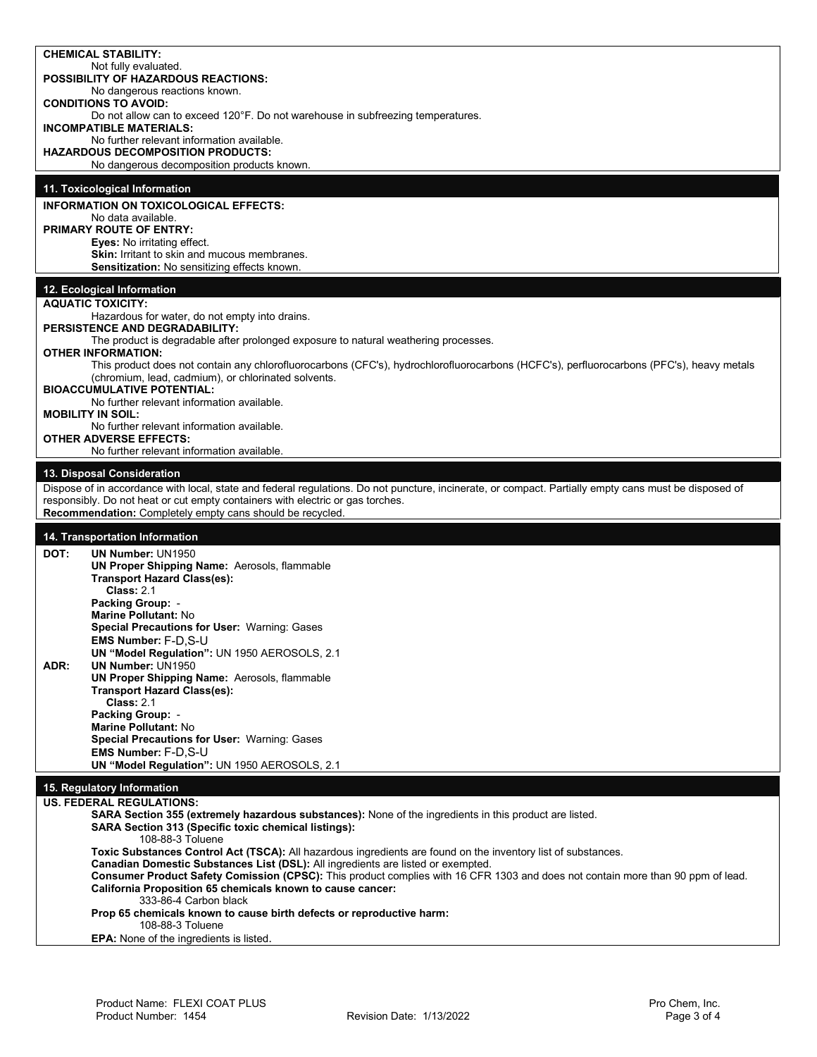|      | <b>CHEMICAL STABILITY:</b><br>Not fully evaluated.                                                                                                                                                                  |
|------|---------------------------------------------------------------------------------------------------------------------------------------------------------------------------------------------------------------------|
|      | <b>POSSIBILITY OF HAZARDOUS REACTIONS:</b><br>No dangerous reactions known.                                                                                                                                         |
|      | <b>CONDITIONS TO AVOID:</b><br>Do not allow can to exceed 120°F. Do not warehouse in subfreezing temperatures.                                                                                                      |
|      | <b>INCOMPATIBLE MATERIALS:</b><br>No further relevant information available.                                                                                                                                        |
|      | <b>HAZARDOUS DECOMPOSITION PRODUCTS:</b><br>No dangerous decomposition products known.                                                                                                                              |
|      | 11. Toxicological Information                                                                                                                                                                                       |
|      | <b>INFORMATION ON TOXICOLOGICAL EFFECTS:</b>                                                                                                                                                                        |
|      | No data available.<br><b>PRIMARY ROUTE OF ENTRY:</b>                                                                                                                                                                |
|      | <b>Eyes:</b> No irritating effect.<br>Skin: Irritant to skin and mucous membranes.                                                                                                                                  |
|      | <b>Sensitization:</b> No sensitizing effects known.                                                                                                                                                                 |
|      | 12. Ecological Information<br><b>AQUATIC TOXICITY:</b>                                                                                                                                                              |
|      | Hazardous for water, do not empty into drains.                                                                                                                                                                      |
|      | PERSISTENCE AND DEGRADABILITY:<br>The product is degradable after prolonged exposure to natural weathering processes.                                                                                               |
|      | <b>OTHER INFORMATION:</b><br>This product does not contain any chlorofluorocarbons (CFC's), hydrochlorofluorocarbons (HCFC's), perfluorocarbons (PFC's), heavy metals                                               |
|      | (chromium, lead, cadmium), or chlorinated solvents.<br><b>BIOACCUMULATIVE POTENTIAL:</b>                                                                                                                            |
|      | No further relevant information available.<br><b>MOBILITY IN SOIL:</b>                                                                                                                                              |
|      | No further relevant information available.<br><b>OTHER ADVERSE EFFECTS:</b>                                                                                                                                         |
|      | No further relevant information available.                                                                                                                                                                          |
|      | 13. Disposal Consideration<br>Dispose of in accordance with local, state and federal regulations. Do not puncture, incinerate, or compact. Partially empty cans must be disposed of                                 |
|      | responsibly. Do not heat or cut empty containers with electric or gas torches.                                                                                                                                      |
|      | Recommendation: Completely empty cans should be recycled.                                                                                                                                                           |
| DOT: | 14. Transportation Information<br><b>UN Number: UN1950</b>                                                                                                                                                          |
|      | <b>UN Proper Shipping Name: Aerosols, flammable</b><br><b>Transport Hazard Class(es):</b>                                                                                                                           |
|      | <b>Class: 2.1</b>                                                                                                                                                                                                   |
|      | <b>Packing Group: -</b>                                                                                                                                                                                             |
|      | Marine Pollutant: No                                                                                                                                                                                                |
|      | Special Precautions for User: Warning: Gases                                                                                                                                                                        |
|      | EMS Number: F-D,S-U<br>UN "Model Regulation": UN 1950 AEROSOLS, 2.1                                                                                                                                                 |
| ADR: | <b>UN Number: UN1950</b><br>UN Proper Shipping Name: Aerosols, flammable                                                                                                                                            |
|      | <b>Transport Hazard Class(es):</b><br><b>Class: 2.1</b>                                                                                                                                                             |
|      | <b>Packing Group: -</b><br>Marine Pollutant: No                                                                                                                                                                     |
|      | Special Precautions for User: Warning: Gases<br><b>EMS Number: F-D.S-U</b>                                                                                                                                          |
|      | UN "Model Regulation": UN 1950 AEROSOLS, 2.1                                                                                                                                                                        |
|      | 15. Regulatory Information                                                                                                                                                                                          |
|      | <b>US. FEDERAL REGULATIONS:</b><br>SARA Section 355 (extremely hazardous substances): None of the ingredients in this product are listed.<br>SARA Section 313 (Specific toxic chemical listings):                   |
|      | 108-88-3 Toluene<br>Toxic Substances Control Act (TSCA): All hazardous ingredients are found on the inventory list of substances.                                                                                   |
|      | Canadian Domestic Substances List (DSL): All ingredients are listed or exempted.<br>Consumer Product Safety Comission (CPSC): This product complies with 16 CFR 1303 and does not contain more than 90 ppm of lead. |
|      | California Proposition 65 chemicals known to cause cancer:<br>333-86-4 Carbon black                                                                                                                                 |
|      | Prop 65 chemicals known to cause birth defects or reproductive harm:<br>108-88-3 Toluene                                                                                                                            |